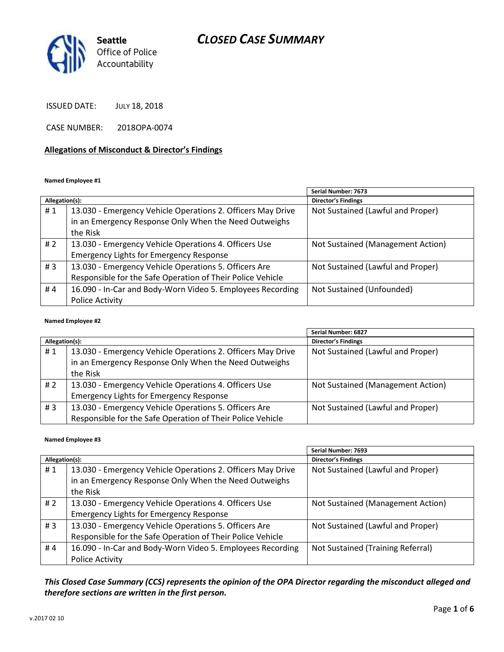# *CLOSED CASE SUMMARY*



ISSUED DATE: JULY 18, 2018

CASE NUMBER: 2018OPA-0074

#### **Allegations of Misconduct & Director's Findings**

#### **Named Employee #1**

|                |                                                             | Serial Number: 7673               |
|----------------|-------------------------------------------------------------|-----------------------------------|
| Allegation(s): |                                                             | <b>Director's Findings</b>        |
| #1             | 13.030 - Emergency Vehicle Operations 2. Officers May Drive | Not Sustained (Lawful and Proper) |
|                | in an Emergency Response Only When the Need Outweighs       |                                   |
|                | the Risk                                                    |                                   |
| #2             | 13.030 - Emergency Vehicle Operations 4. Officers Use       | Not Sustained (Management Action) |
|                | <b>Emergency Lights for Emergency Response</b>              |                                   |
| #3             | 13.030 - Emergency Vehicle Operations 5. Officers Are       | Not Sustained (Lawful and Proper) |
|                | Responsible for the Safe Operation of Their Police Vehicle  |                                   |
| #4             | 16.090 - In-Car and Body-Worn Video 5. Employees Recording  | Not Sustained (Unfounded)         |
|                | Police Activity                                             |                                   |

#### **Named Employee #2**

|                |                                                             | Serial Number: 6827               |
|----------------|-------------------------------------------------------------|-----------------------------------|
| Allegation(s): |                                                             | Director's Findings               |
| #1             | 13.030 - Emergency Vehicle Operations 2. Officers May Drive | Not Sustained (Lawful and Proper) |
|                | in an Emergency Response Only When the Need Outweighs       |                                   |
|                | the Risk                                                    |                                   |
| # 2            | 13.030 - Emergency Vehicle Operations 4. Officers Use       | Not Sustained (Management Action) |
|                | <b>Emergency Lights for Emergency Response</b>              |                                   |
| #3             | 13.030 - Emergency Vehicle Operations 5. Officers Are       | Not Sustained (Lawful and Proper) |
|                | Responsible for the Safe Operation of Their Police Vehicle  |                                   |

#### **Named Employee #3**

|                |                                                             | Serial Number: 7693               |
|----------------|-------------------------------------------------------------|-----------------------------------|
| Allegation(s): |                                                             | <b>Director's Findings</b>        |
| #1             | 13.030 - Emergency Vehicle Operations 2. Officers May Drive | Not Sustained (Lawful and Proper) |
|                | in an Emergency Response Only When the Need Outweighs       |                                   |
|                | the Risk                                                    |                                   |
| # $2$          | 13.030 - Emergency Vehicle Operations 4. Officers Use       | Not Sustained (Management Action) |
|                | <b>Emergency Lights for Emergency Response</b>              |                                   |
| #3             | 13.030 - Emergency Vehicle Operations 5. Officers Are       | Not Sustained (Lawful and Proper) |
|                | Responsible for the Safe Operation of Their Police Vehicle  |                                   |
| #4             | 16.090 - In-Car and Body-Worn Video 5. Employees Recording  | Not Sustained (Training Referral) |
|                | Police Activity                                             |                                   |

*This Closed Case Summary (CCS) represents the opinion of the OPA Director regarding the misconduct alleged and therefore sections are written in the first person.*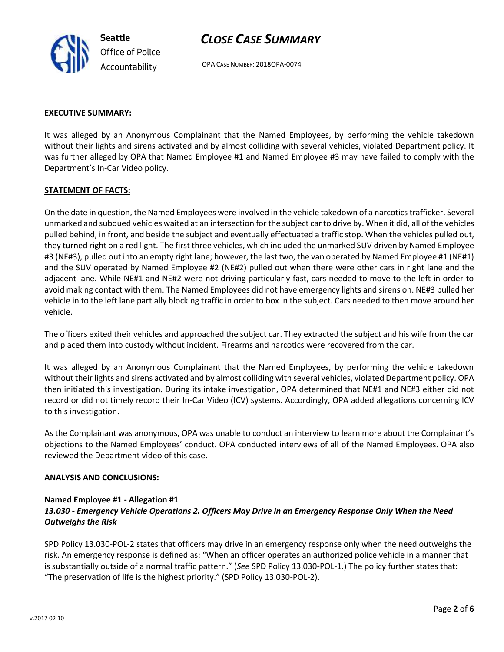

# *CLOSE CASE SUMMARY*

OPA CASE NUMBER: 2018OPA-0074

#### **EXECUTIVE SUMMARY:**

It was alleged by an Anonymous Complainant that the Named Employees, by performing the vehicle takedown without their lights and sirens activated and by almost colliding with several vehicles, violated Department policy. It was further alleged by OPA that Named Employee #1 and Named Employee #3 may have failed to comply with the Department's In-Car Video policy.

#### **STATEMENT OF FACTS:**

On the date in question, the Named Employees were involved in the vehicle takedown of a narcotics trafficker. Several unmarked and subdued vehicles waited at an intersection for the subject car to drive by. When it did, all of the vehicles pulled behind, in front, and beside the subject and eventually effectuated a traffic stop. When the vehicles pulled out, they turned right on a red light. The first three vehicles, which included the unmarked SUV driven by Named Employee #3 (NE#3), pulled out into an empty right lane; however, the last two, the van operated by Named Employee #1 (NE#1) and the SUV operated by Named Employee #2 (NE#2) pulled out when there were other cars in right lane and the adjacent lane. While NE#1 and NE#2 were not driving particularly fast, cars needed to move to the left in order to avoid making contact with them. The Named Employees did not have emergency lights and sirens on. NE#3 pulled her vehicle in to the left lane partially blocking traffic in order to box in the subject. Cars needed to then move around her vehicle.

The officers exited their vehicles and approached the subject car. They extracted the subject and his wife from the car and placed them into custody without incident. Firearms and narcotics were recovered from the car.

It was alleged by an Anonymous Complainant that the Named Employees, by performing the vehicle takedown without their lights and sirens activated and by almost colliding with several vehicles, violated Department policy. OPA then initiated this investigation. During its intake investigation, OPA determined that NE#1 and NE#3 either did not record or did not timely record their In-Car Video (ICV) systems. Accordingly, OPA added allegations concerning ICV to this investigation.

As the Complainant was anonymous, OPA was unable to conduct an interview to learn more about the Complainant's objections to the Named Employees' conduct. OPA conducted interviews of all of the Named Employees. OPA also reviewed the Department video of this case.

#### **ANALYSIS AND CONCLUSIONS:**

#### **Named Employee #1 - Allegation #1**

## *13.030 - Emergency Vehicle Operations 2. Officers May Drive in an Emergency Response Only When the Need Outweighs the Risk*

SPD Policy 13.030-POL-2 states that officers may drive in an emergency response only when the need outweighs the risk. An emergency response is defined as: "When an officer operates an authorized police vehicle in a manner that is substantially outside of a normal traffic pattern." (*See* SPD Policy 13.030-POL-1.) The policy further states that: "The preservation of life is the highest priority." (SPD Policy 13.030-POL-2).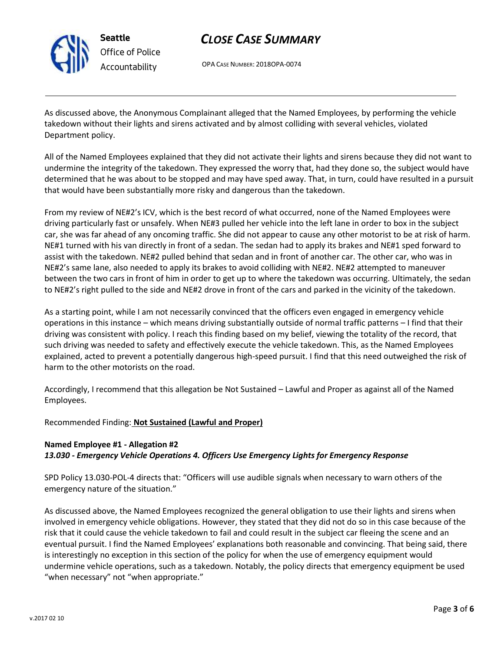

**Seattle** *Office of Police Accountability*

# *CLOSE CASE SUMMARY*

OPA CASE NUMBER: 2018OPA-0074

As discussed above, the Anonymous Complainant alleged that the Named Employees, by performing the vehicle takedown without their lights and sirens activated and by almost colliding with several vehicles, violated Department policy.

All of the Named Employees explained that they did not activate their lights and sirens because they did not want to undermine the integrity of the takedown. They expressed the worry that, had they done so, the subject would have determined that he was about to be stopped and may have sped away. That, in turn, could have resulted in a pursuit that would have been substantially more risky and dangerous than the takedown.

From my review of NE#2's ICV, which is the best record of what occurred, none of the Named Employees were driving particularly fast or unsafely. When NE#3 pulled her vehicle into the left lane in order to box in the subject car, she was far ahead of any oncoming traffic. She did not appear to cause any other motorist to be at risk of harm. NE#1 turned with his van directly in front of a sedan. The sedan had to apply its brakes and NE#1 sped forward to assist with the takedown. NE#2 pulled behind that sedan and in front of another car. The other car, who was in NE#2's same lane, also needed to apply its brakes to avoid colliding with NE#2. NE#2 attempted to maneuver between the two cars in front of him in order to get up to where the takedown was occurring. Ultimately, the sedan to NE#2's right pulled to the side and NE#2 drove in front of the cars and parked in the vicinity of the takedown.

As a starting point, while I am not necessarily convinced that the officers even engaged in emergency vehicle operations in this instance – which means driving substantially outside of normal traffic patterns – I find that their driving was consistent with policy. I reach this finding based on my belief, viewing the totality of the record, that such driving was needed to safety and effectively execute the vehicle takedown. This, as the Named Employees explained, acted to prevent a potentially dangerous high-speed pursuit. I find that this need outweighed the risk of harm to the other motorists on the road.

Accordingly, I recommend that this allegation be Not Sustained – Lawful and Proper as against all of the Named Employees.

## Recommended Finding: **Not Sustained (Lawful and Proper)**

## **Named Employee #1 - Allegation #2** *13.030 - Emergency Vehicle Operations 4. Officers Use Emergency Lights for Emergency Response*

SPD Policy 13.030-POL-4 directs that: "Officers will use audible signals when necessary to warn others of the emergency nature of the situation."

As discussed above, the Named Employees recognized the general obligation to use their lights and sirens when involved in emergency vehicle obligations. However, they stated that they did not do so in this case because of the risk that it could cause the vehicle takedown to fail and could result in the subject car fleeing the scene and an eventual pursuit. I find the Named Employees' explanations both reasonable and convincing. That being said, there is interestingly no exception in this section of the policy for when the use of emergency equipment would undermine vehicle operations, such as a takedown. Notably, the policy directs that emergency equipment be used "when necessary" not "when appropriate."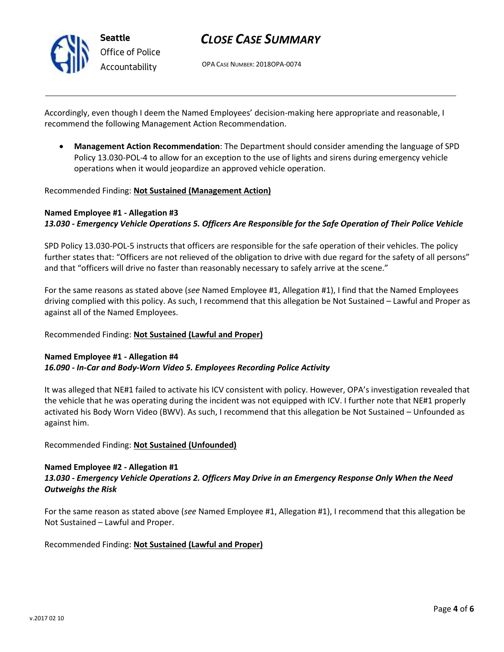

# *CLOSE CASE SUMMARY*

OPA CASE NUMBER: 2018OPA-0074

Accordingly, even though I deem the Named Employees' decision-making here appropriate and reasonable, I recommend the following Management Action Recommendation.

• **Management Action Recommendation**: The Department should consider amending the language of SPD Policy 13.030-POL-4 to allow for an exception to the use of lights and sirens during emergency vehicle operations when it would jeopardize an approved vehicle operation.

#### Recommended Finding: **Not Sustained (Management Action)**

#### **Named Employee #1 - Allegation #3** *13.030 - Emergency Vehicle Operations 5. Officers Are Responsible for the Safe Operation of Their Police Vehicle*

SPD Policy 13.030-POL-5 instructs that officers are responsible for the safe operation of their vehicles. The policy further states that: "Officers are not relieved of the obligation to drive with due regard for the safety of all persons" and that "officers will drive no faster than reasonably necessary to safely arrive at the scene."

For the same reasons as stated above (*see* Named Employee #1, Allegation #1), I find that the Named Employees driving complied with this policy. As such, I recommend that this allegation be Not Sustained – Lawful and Proper as against all of the Named Employees.

#### Recommended Finding: **Not Sustained (Lawful and Proper)**

#### **Named Employee #1 - Allegation #4** *16.090 - In-Car and Body-Worn Video 5. Employees Recording Police Activity*

It was alleged that NE#1 failed to activate his ICV consistent with policy. However, OPA's investigation revealed that the vehicle that he was operating during the incident was not equipped with ICV. I further note that NE#1 properly activated his Body Worn Video (BWV). As such, I recommend that this allegation be Not Sustained – Unfounded as against him.

#### Recommended Finding: **Not Sustained (Unfounded)**

#### **Named Employee #2 - Allegation #1** *13.030 - Emergency Vehicle Operations 2. Officers May Drive in an Emergency Response Only When the Need Outweighs the Risk*

For the same reason as stated above (*see* Named Employee #1, Allegation #1), I recommend that this allegation be Not Sustained – Lawful and Proper.

#### Recommended Finding: **Not Sustained (Lawful and Proper)**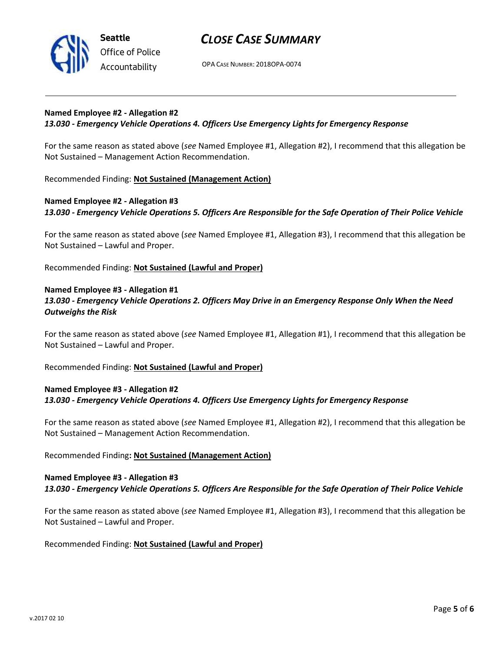

**Seattle** *Office of Police Accountability*

## *CLOSE CASE SUMMARY*

OPA CASE NUMBER: 2018OPA-0074

#### **Named Employee #2 - Allegation #2**

#### *13.030 - Emergency Vehicle Operations 4. Officers Use Emergency Lights for Emergency Response*

For the same reason as stated above (*see* Named Employee #1, Allegation #2), I recommend that this allegation be Not Sustained – Management Action Recommendation.

Recommended Finding: **Not Sustained (Management Action)**

## **Named Employee #2 - Allegation #3** *13.030 - Emergency Vehicle Operations 5. Officers Are Responsible for the Safe Operation of Their Police Vehicle*

For the same reason as stated above (*see* Named Employee #1, Allegation #3), I recommend that this allegation be Not Sustained – Lawful and Proper.

Recommended Finding: **Not Sustained (Lawful and Proper)**

#### **Named Employee #3 - Allegation #1** *13.030 - Emergency Vehicle Operations 2. Officers May Drive in an Emergency Response Only When the Need*

# *Outweighs the Risk*

For the same reason as stated above (*see* Named Employee #1, Allegation #1), I recommend that this allegation be Not Sustained – Lawful and Proper.

Recommended Finding: **Not Sustained (Lawful and Proper)**

### **Named Employee #3 - Allegation #2** *13.030 - Emergency Vehicle Operations 4. Officers Use Emergency Lights for Emergency Response*

For the same reason as stated above (*see* Named Employee #1, Allegation #2), I recommend that this allegation be Not Sustained – Management Action Recommendation.

#### Recommended Finding**: Not Sustained (Management Action)**

#### **Named Employee #3 - Allegation #3** *13.030 - Emergency Vehicle Operations 5. Officers Are Responsible for the Safe Operation of Their Police Vehicle*

For the same reason as stated above (*see* Named Employee #1, Allegation #3), I recommend that this allegation be Not Sustained – Lawful and Proper.

#### Recommended Finding: **Not Sustained (Lawful and Proper)**